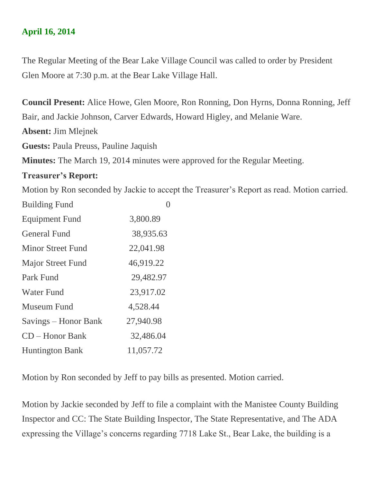## **April 16, 2014**

The Regular Meeting of the Bear Lake Village Council was called to order by President Glen Moore at 7:30 p.m. at the Bear Lake Village Hall.

**Council Present:** Alice Howe, Glen Moore, Ron Ronning, Don Hyrns, Donna Ronning, Jeff Bair, and Jackie Johnson, Carver Edwards, Howard Higley, and Melanie Ware.

**Absent:** Jim Mlejnek

**Guests:** Paula Preuss, Pauline Jaquish

**Minutes:** The March 19, 2014 minutes were approved for the Regular Meeting.

## **Treasurer's Report:**

Motion by Ron seconded by Jackie to accept the Treasurer's Report as read. Motion carried.

| <b>Building Fund</b>     |           |
|--------------------------|-----------|
| <b>Equipment Fund</b>    | 3,800.89  |
| <b>General Fund</b>      | 38,935.63 |
| <b>Minor Street Fund</b> | 22,041.98 |
| <b>Major Street Fund</b> | 46,919.22 |
| Park Fund                | 29,482.97 |
| <b>Water Fund</b>        | 23,917.02 |
| Museum Fund              | 4,528.44  |
| Savings – Honor Bank     | 27,940.98 |
| $CD - Honor Bank$        | 32,486.04 |
| <b>Huntington Bank</b>   | 11,057.72 |

Motion by Ron seconded by Jeff to pay bills as presented. Motion carried.

Motion by Jackie seconded by Jeff to file a complaint with the Manistee County Building Inspector and CC: The State Building Inspector, The State Representative, and The ADA expressing the Village's concerns regarding 7718 Lake St., Bear Lake, the building is a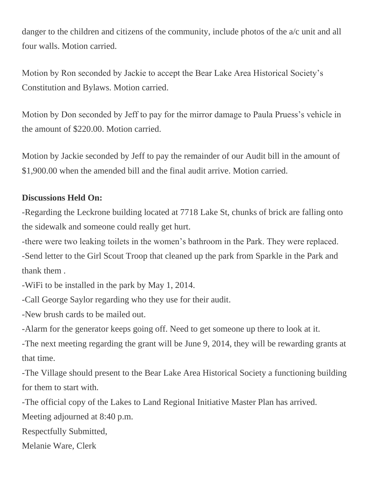danger to the children and citizens of the community, include photos of the  $a/c$  unit and all four walls. Motion carried.

Motion by Ron seconded by Jackie to accept the Bear Lake Area Historical Society's Constitution and Bylaws. Motion carried.

Motion by Don seconded by Jeff to pay for the mirror damage to Paula Pruess's vehicle in the amount of \$220.00. Motion carried.

Motion by Jackie seconded by Jeff to pay the remainder of our Audit bill in the amount of \$1,900.00 when the amended bill and the final audit arrive. Motion carried.

## **Discussions Held On:**

-Regarding the Leckrone building located at 7718 Lake St, chunks of brick are falling onto the sidewalk and someone could really get hurt.

-there were two leaking toilets in the women's bathroom in the Park. They were replaced. -Send letter to the Girl Scout Troop that cleaned up the park from Sparkle in the Park and thank them .

-WiFi to be installed in the park by May 1, 2014.

-Call George Saylor regarding who they use for their audit.

-New brush cards to be mailed out.

-Alarm for the generator keeps going off. Need to get someone up there to look at it.

-The next meeting regarding the grant will be June 9, 2014, they will be rewarding grants at that time.

-The Village should present to the Bear Lake Area Historical Society a functioning building for them to start with.

-The official copy of the Lakes to Land Regional Initiative Master Plan has arrived.

Meeting adjourned at 8:40 p.m.

Respectfully Submitted,

Melanie Ware, Clerk